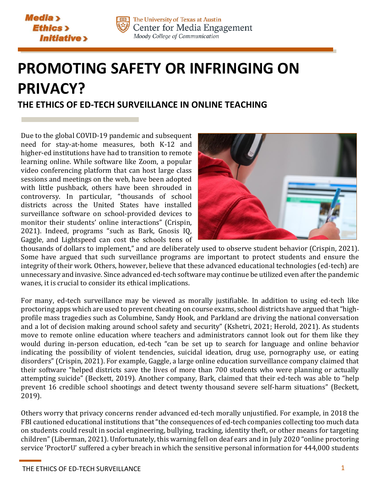



The University of Texas at Austin Center for Media Engagement Moody College of Communication

## **PROMOTING SAFETY OR INFRINGING ON PRIVACY? THE ETHICS OF ED-TECH SURVEILLANCE IN ONLINE TEACHING**

Due to the global COVID-19 pandemic and subsequent need for stay-at-home measures, both K-12 and higher-ed institutions have had to transition to remote learning online. While software like Zoom, a popular video conferencing platform that can host large class sessions and meetings on the web, have been adopted with little pushback, others have been shrouded in controversy. In particular, "thousands of school districts across the United States have installed surveillance software on school-provided devices to monitor their students' online interactions" (Crispin, 2021). Indeed, programs "such as Bark, Gnosis IQ, Gaggle, and Lightspeed can cost the schools tens of



thousands of dollars to implement," and are deliberately used to observe student behavior (Crispin, 2021). Some have argued that such surveillance programs are important to protect students and ensure the integrity of their work. Others, however, believe that these advanced educational technologies (ed-tech) are unnecessary and invasive. Since advanced ed-tech software may continue be utilized even after the pandemic wanes, it is crucial to consider its ethical implications.

For many, ed-tech surveillance may be viewed as morally justifiable. In addition to using ed-tech like proctoring apps which are used to prevent cheating on course exams, school districts have argued that "highprofile mass tragedies such as Columbine, Sandy Hook, and Parkland are driving the national conversation and a lot of decision making around school safety and security" (Kshetri, 2021; Herold, 2021). As students move to remote online education where teachers and administrators cannot look out for them like they would during in-person education, ed-tech "can be set up to search for language and online behavior indicating the possibility of violent tendencies, suicidal ideation, drug use, pornography use, or eating disorders" (Crispin, 2021). For example, Gaggle, a large online education surveillance company claimed that their software "helped districts save the lives of more than 700 students who were planning or actually attempting suicide" (Beckett, 2019). Another company, Bark, claimed that their ed-tech was able to "help prevent 16 credible school shootings and detect twenty thousand severe self-harm situations" (Beckett, 2019).

Others worry that privacy concerns render advanced ed-tech morally unjustified. For example, in 2018 the FBI cautioned educational institutions that "the consequences of ed-tech companies collecting too much data on students could result in social engineering, bullying, tracking, identity theft, or other means for targeting children" (Liberman, 2021). Unfortunately, this warning fell on deaf ears and in July 2020 "online proctoring service 'ProctorU' suffered a cyber breach in which the sensitive personal information for 444,000 students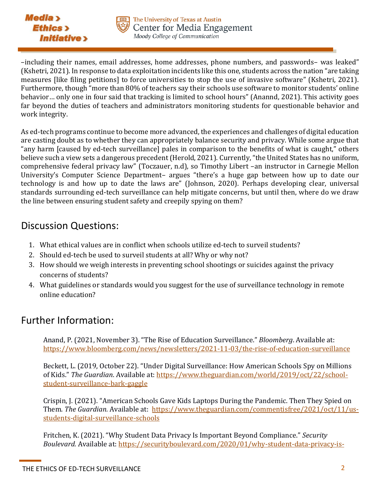



–including their names, email addresses, home addresses, phone numbers, and passwords– was leaked" (Kshetri, 2021). In response to data exploitation incidents like this one, students across the nation "are taking measures [like filing petitions] to force universities to stop the use of invasive software" (Kshetri, 2021). Furthermore, though "more than 80% of teachers say their schools use software to monitor students' online behavior… only one in four said that tracking is limited to school hours" (Anannd, 2021). This activity goes far beyond the duties of teachers and administrators monitoring students for questionable behavior and work integrity.

As ed-tech programs continue to become more advanced, the experiences and challenges of digital education are casting doubt as to whether they can appropriately balance security and privacy. While some argue that "any harm [caused by ed-tech surveillance] pales in comparison to the benefits of what is caught," others believe such a view sets a dangerous precedent (Herold, 2021). Currently, "the United States has no uniform, comprehensive federal privacy law" (Toczauer, n.d), so Timothy Libert –an instructor in Carnegie Mellon University's Computer Science Department– argues "there's a huge gap between how up to date our technology is and how up to date the laws are" (Johnson, 2020). Perhaps developing clear, universal standards surrounding ed-tech surveillance can help mitigate concerns, but until then, where do we draw the line between ensuring student safety and creepily spying on them?

## Discussion Questions:

- 1. What ethical values are in conflict when schools utilize ed-tech to surveil students?
- 2. Should ed-tech be used to surveil students at all? Why or why not?
- 3. How should we weigh interests in preventing school shootings or suicides against the privacy concerns of students?
- 4. What guidelines or standards would you suggest for the use of surveillance technology in remote online education?

## Further Information:

Anand, P. (2021, November 3). "The Rise of Education Surveillance." *Bloomberg*. Available at: <https://www.bloomberg.com/news/newsletters/2021-11-03/the-rise-of-education-surveillance>

Beckett, L. (2019, October 22). "Under Digital Surveillance: How American Schools Spy on Millions of Kids." *The Guardian*. Available at: [https://www.theguardian.com/world/2019/oct/22/school](https://www.theguardian.com/world/2019/oct/22/school-student-surveillance-bark-gaggle)[student-surveillance-bark-gaggle](https://www.theguardian.com/world/2019/oct/22/school-student-surveillance-bark-gaggle)

Crispin, J. (2021). "American Schools Gave Kids Laptops During the Pandemic. Then They Spied on Them. *The Guardian.* Available at: [https://www.theguardian.com/commentisfree/2021/oct/11/us](https://www.theguardian.com/commentisfree/2021/oct/11/us-students-digital-surveillance-schools)[students-digital-surveillance-schools](https://www.theguardian.com/commentisfree/2021/oct/11/us-students-digital-surveillance-schools)

Fritchen, K. (2021). "Why Student Data Privacy Is Important Beyond Compliance." *Security Boulevard.* Available at: [https://securityboulevard.com/2020/01/why-student-data-privacy-is-](https://securityboulevard.com/2020/01/why-student-data-privacy-is-important-beyond-compliance/)